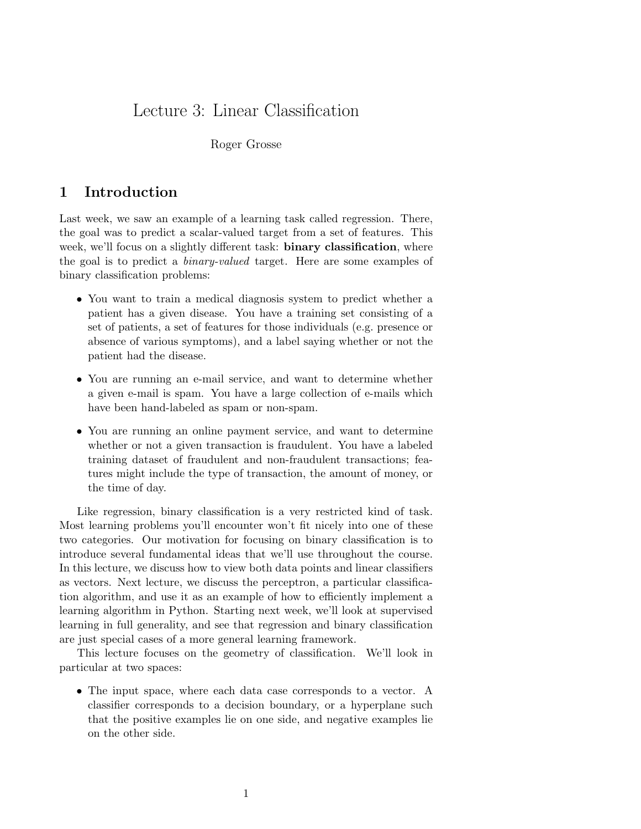# Lecture 3: Linear Classification

#### Roger Grosse

## 1 Introduction

Last week, we saw an example of a learning task called regression. There, the goal was to predict a scalar-valued target from a set of features. This week, we'll focus on a slightly different task: **binary classification**, where the goal is to predict a binary-valued target. Here are some examples of binary classification problems:

- You want to train a medical diagnosis system to predict whether a patient has a given disease. You have a training set consisting of a set of patients, a set of features for those individuals (e.g. presence or absence of various symptoms), and a label saying whether or not the patient had the disease.
- You are running an e-mail service, and want to determine whether a given e-mail is spam. You have a large collection of e-mails which have been hand-labeled as spam or non-spam.
- You are running an online payment service, and want to determine whether or not a given transaction is fraudulent. You have a labeled training dataset of fraudulent and non-fraudulent transactions; features might include the type of transaction, the amount of money, or the time of day.

Like regression, binary classification is a very restricted kind of task. Most learning problems you'll encounter won't fit nicely into one of these two categories. Our motivation for focusing on binary classification is to introduce several fundamental ideas that we'll use throughout the course. In this lecture, we discuss how to view both data points and linear classifiers as vectors. Next lecture, we discuss the perceptron, a particular classification algorithm, and use it as an example of how to efficiently implement a learning algorithm in Python. Starting next week, we'll look at supervised learning in full generality, and see that regression and binary classification are just special cases of a more general learning framework.

This lecture focuses on the geometry of classification. We'll look in particular at two spaces:

• The input space, where each data case corresponds to a vector. A classifier corresponds to a decision boundary, or a hyperplane such that the positive examples lie on one side, and negative examples lie on the other side.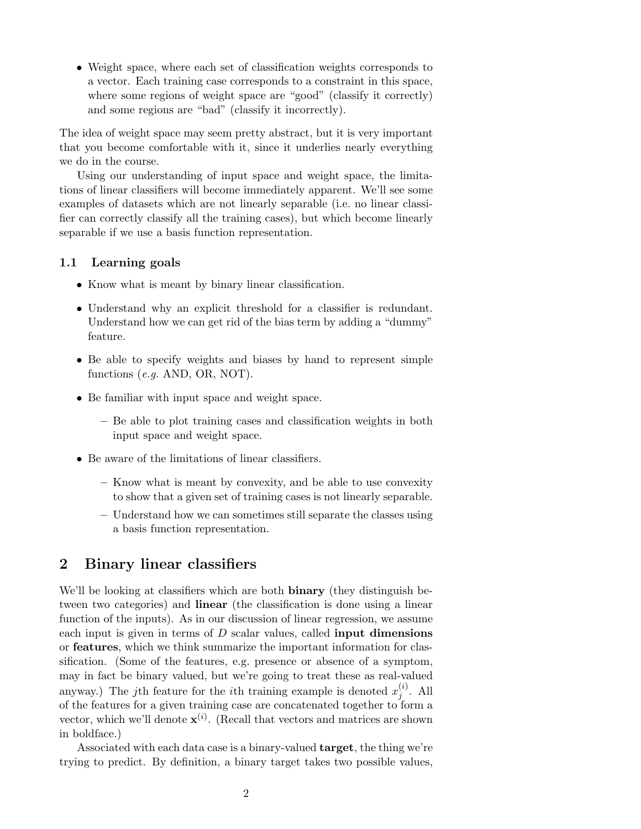• Weight space, where each set of classification weights corresponds to a vector. Each training case corresponds to a constraint in this space, where some regions of weight space are "good" (classify it correctly) and some regions are "bad" (classify it incorrectly).

The idea of weight space may seem pretty abstract, but it is very important that you become comfortable with it, since it underlies nearly everything we do in the course.

Using our understanding of input space and weight space, the limitations of linear classifiers will become immediately apparent. We'll see some examples of datasets which are not linearly separable (i.e. no linear classifier can correctly classify all the training cases), but which become linearly separable if we use a basis function representation.

#### 1.1 Learning goals

- Know what is meant by binary linear classification.
- Understand why an explicit threshold for a classifier is redundant. Understand how we can get rid of the bias term by adding a "dummy" feature.
- Be able to specify weights and biases by hand to represent simple functions (e.g. AND, OR, NOT).
- Be familiar with input space and weight space.
	- Be able to plot training cases and classification weights in both input space and weight space.
- Be aware of the limitations of linear classifiers.
	- Know what is meant by convexity, and be able to use convexity to show that a given set of training cases is not linearly separable.
	- Understand how we can sometimes still separate the classes using a basis function representation.

# 2 Binary linear classifiers

We'll be looking at classifiers which are both **binary** (they distinguish between two categories) and linear (the classification is done using a linear function of the inputs). As in our discussion of linear regression, we assume each input is given in terms of  $D$  scalar values, called **input dimensions** or features, which we think summarize the important information for classification. (Some of the features, e.g. presence or absence of a symptom, may in fact be binary valued, but we're going to treat these as real-valued anyway.) The jth feature for the *i*th training example is denoted  $x_i^{(i)}$  $j^{(i)}$ . All of the features for a given training case are concatenated together to form a vector, which we'll denote  $\mathbf{x}^{(i)}$ . (Recall that vectors and matrices are shown in boldface.)

Associated with each data case is a binary-valued target, the thing we're trying to predict. By definition, a binary target takes two possible values,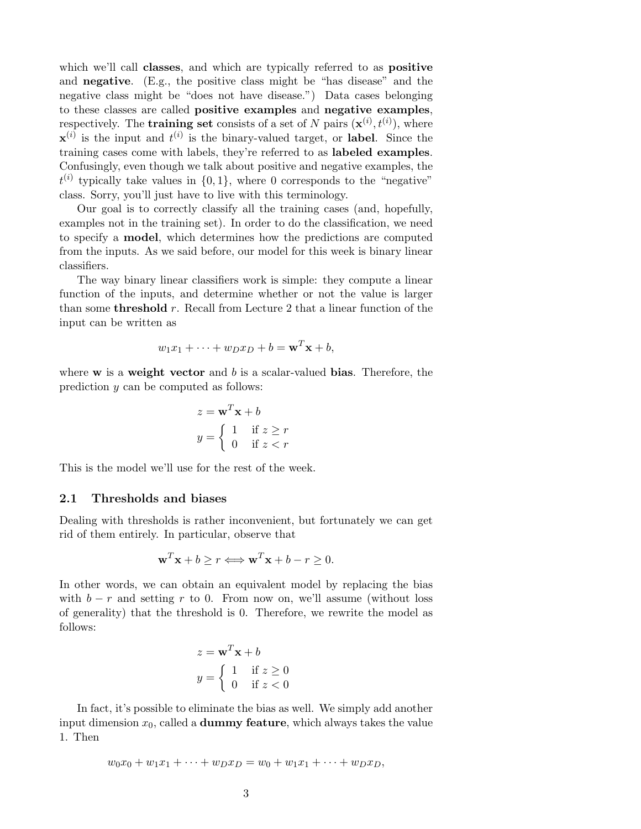which we'll call classes, and which are typically referred to as **positive** and negative. (E.g., the positive class might be "has disease" and the negative class might be "does not have disease.") Data cases belonging to these classes are called positive examples and negative examples, respectively. The **training set** consists of a set of N pairs  $(\mathbf{x}^{(i)}, t^{(i)})$ , where  $\mathbf{x}^{(i)}$  is the input and  $t^{(i)}$  is the binary-valued target, or label. Since the training cases come with labels, they're referred to as labeled examples. Confusingly, even though we talk about positive and negative examples, the  $t^{(i)}$  typically take values in  $\{0,1\}$ , where 0 corresponds to the "negative" class. Sorry, you'll just have to live with this terminology.

Our goal is to correctly classify all the training cases (and, hopefully, examples not in the training set). In order to do the classification, we need to specify a model, which determines how the predictions are computed from the inputs. As we said before, our model for this week is binary linear classifiers.

The way binary linear classifiers work is simple: they compute a linear function of the inputs, and determine whether or not the value is larger than some **threshold** r. Recall from Lecture 2 that a linear function of the input can be written as

$$
w_1x_1 + \dots + w_Dx_D + b = \mathbf{w}^T\mathbf{x} + b,
$$

where  $w$  is a weight vector and  $b$  is a scalar-valued bias. Therefore, the prediction y can be computed as follows:

$$
z = \mathbf{w}^T \mathbf{x} + b
$$

$$
y = \begin{cases} 1 & \text{if } z \ge r \\ 0 & \text{if } z < r \end{cases}
$$

This is the model we'll use for the rest of the week.

#### <span id="page-2-0"></span>2.1 Thresholds and biases

Dealing with thresholds is rather inconvenient, but fortunately we can get rid of them entirely. In particular, observe that

$$
\mathbf{w}^T \mathbf{x} + b \ge r \Longleftrightarrow \mathbf{w}^T \mathbf{x} + b - r \ge 0.
$$

In other words, we can obtain an equivalent model by replacing the bias with  $b - r$  and setting r to 0. From now on, we'll assume (without loss of generality) that the threshold is 0. Therefore, we rewrite the model as follows:

$$
z = \mathbf{w}^T \mathbf{x} + b
$$

$$
y = \begin{cases} 1 & \text{if } z \ge 0 \\ 0 & \text{if } z < 0 \end{cases}
$$

In fact, it's possible to eliminate the bias as well. We simply add another input dimension  $x_0$ , called a **dummy feature**, which always takes the value 1. Then

$$
w_0x_0 + w_1x_1 + \cdots + w_Dx_D = w_0 + w_1x_1 + \cdots + w_Dx_D,
$$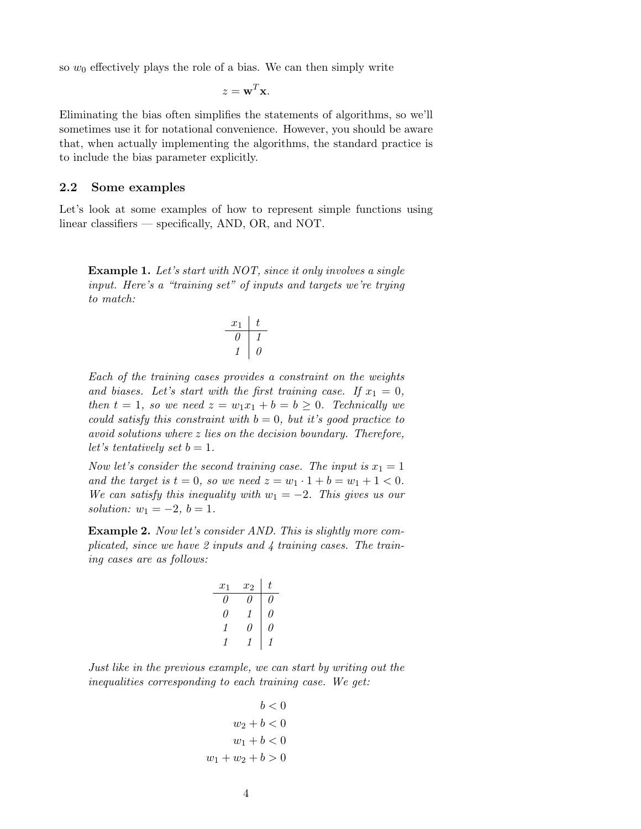so  $w_0$  effectively plays the role of a bias. We can then simply write

$$
z = \mathbf{w}^T \mathbf{x}.
$$

Eliminating the bias often simplifies the statements of algorithms, so we'll sometimes use it for notational convenience. However, you should be aware that, when actually implementing the algorithms, the standard practice is to include the bias parameter explicitly.

#### 2.2 Some examples

Let's look at some examples of how to represent simple functions using linear classifiers — specifically, AND, OR, and NOT.

<span id="page-3-0"></span>Example 1. Let's start with NOT, since it only involves a single input. Here's a "training set" of inputs and targets we're trying to match:

$$
\begin{array}{c|c}\nx_1 & t \\
\hline\n0 & 1 \\
1 & 0\n\end{array}
$$

Each of the training cases provides a constraint on the weights and biases. Let's start with the first training case. If  $x_1 = 0$ , then  $t = 1$ , so we need  $z = w_1x_1 + b = b \ge 0$ . Technically we could satisfy this constraint with  $b = 0$ , but it's good practice to avoid solutions where z lies on the decision boundary. Therefore, let's tentatively set  $b = 1$ .

Now let's consider the second training case. The input is  $x_1 = 1$ and the target is  $t = 0$ , so we need  $z = w_1 \cdot 1 + b = w_1 + 1 < 0$ . We can satisfy this inequality with  $w_1 = -2$ . This gives us our solution:  $w_1 = -2, b = 1.$ 

<span id="page-3-1"></span>Example 2. Now let's consider AND. This is slightly more complicated, since we have 2 inputs and 4 training cases. The training cases are as follows:

$$
\begin{array}{c|cc|cc}\nx_1 & x_2 & t \\
\hline\n0 & 0 & 0 \\
0 & 1 & 0 \\
1 & 0 & 0 \\
1 & 1 & 1\n\end{array}
$$

Just like in the previous example, we can start by writing out the inequalities corresponding to each training case. We get:

$$
b < 0
$$
  

$$
w_2 + b < 0
$$
  

$$
w_1 + b < 0
$$
  

$$
w_1 + w_2 + b > 0
$$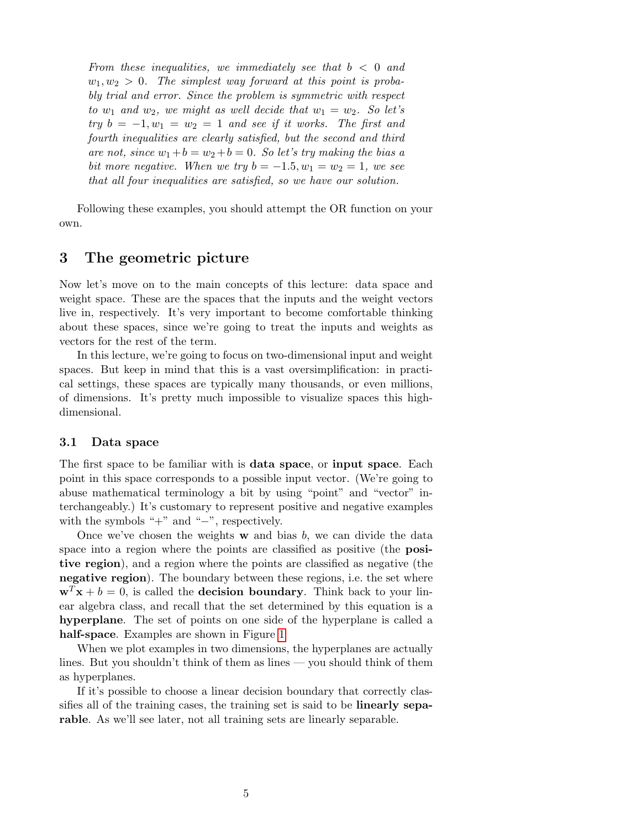From these inequalities, we immediately see that  $b < 0$  and  $w_1, w_2 > 0$ . The simplest way forward at this point is probably trial and error. Since the problem is symmetric with respect to  $w_1$  and  $w_2$ , we might as well decide that  $w_1 = w_2$ . So let's try  $b = -1, w_1 = w_2 = 1$  and see if it works. The first and fourth inequalities are clearly satisfied, but the second and third are not, since  $w_1+b=w_2+b=0$ . So let's try making the bias a bit more negative. When we try  $b = -1.5, w_1 = w_2 = 1$ , we see that all four inequalities are satisfied, so we have our solution.

Following these examples, you should attempt the OR function on your own.

## 3 The geometric picture

Now let's move on to the main concepts of this lecture: data space and weight space. These are the spaces that the inputs and the weight vectors live in, respectively. It's very important to become comfortable thinking about these spaces, since we're going to treat the inputs and weights as vectors for the rest of the term.

In this lecture, we're going to focus on two-dimensional input and weight spaces. But keep in mind that this is a vast oversimplification: in practical settings, these spaces are typically many thousands, or even millions, of dimensions. It's pretty much impossible to visualize spaces this highdimensional.

#### 3.1 Data space

The first space to be familiar with is data space, or input space. Each point in this space corresponds to a possible input vector. (We're going to abuse mathematical terminology a bit by using "point" and "vector" interchangeably.) It's customary to represent positive and negative examples with the symbols " $+$ " and " $-$ ", respectively.

Once we've chosen the weights  $w$  and bias  $b$ , we can divide the data space into a region where the points are classified as positive (the **posi**tive region), and a region where the points are classified as negative (the negative region). The boundary between these regions, i.e. the set where  $\mathbf{w}^T \mathbf{x} + b = 0$ , is called the **decision boundary**. Think back to your linear algebra class, and recall that the set determined by this equation is a hyperplane. The set of points on one side of the hyperplane is called a half-space. Examples are shown in Figure [1](#page-5-0)

When we plot examples in two dimensions, the hyperplanes are actually lines. But you shouldn't think of them as lines — you should think of them as hyperplanes.

If it's possible to choose a linear decision boundary that correctly classifies all of the training cases, the training set is said to be linearly separable. As we'll see later, not all training sets are linearly separable.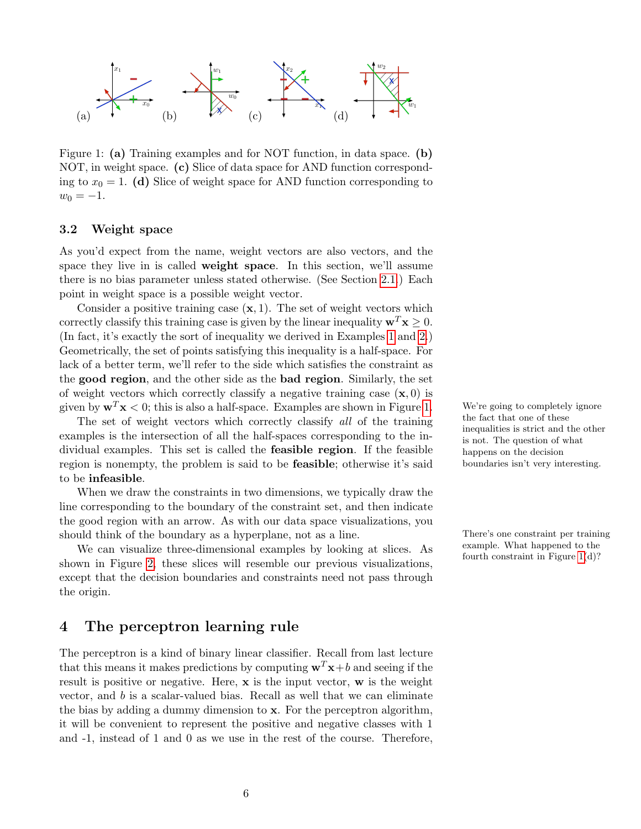

<span id="page-5-0"></span>Figure 1: (a) Training examples and for NOT function, in data space. (b) NOT, in weight space. (c) Slice of data space for AND function corresponding to  $x_0 = 1$ . (d) Slice of weight space for AND function corresponding to  $w_0 = -1.$ 

#### 3.2 Weight space

As you'd expect from the name, weight vectors are also vectors, and the space they live in is called weight space. In this section, we'll assume there is no bias parameter unless stated otherwise. (See Section [2.1.](#page-2-0)) Each point in weight space is a possible weight vector.

Consider a positive training case  $(x, 1)$ . The set of weight vectors which correctly classify this training case is given by the linear inequality  $\mathbf{w}^T \mathbf{x} > 0$ . (In fact, it's exactly the sort of inequality we derived in Examples [1](#page-3-0) and [2.](#page-3-1)) Geometrically, the set of points satisfying this inequality is a half-space. For lack of a better term, we'll refer to the side which satisfies the constraint as the good region, and the other side as the bad region. Similarly, the set of weight vectors which correctly classify a negative training case  $(x, 0)$  is given by  $\mathbf{w}^T\mathbf{x} < 0$ ; this is also a half-space. Examples are shown in Figure [1.](#page-5-0) We're going to completely ignore

The set of weight vectors which correctly classify all of the training examples is the intersection of all the half-spaces corresponding to the individual examples. This set is called the feasible region. If the feasible region is nonempty, the problem is said to be feasible; otherwise it's said to be infeasible.

When we draw the constraints in two dimensions, we typically draw the line corresponding to the boundary of the constraint set, and then indicate the good region with an arrow. As with our data space visualizations, you should think of the boundary as a hyperplane, not as a line. There's one constraint per training

We can visualize three-dimensional examples by looking at slices. As  $\frac{\text{example. What happened to the fourth constraint in Figure 1(d)?}}{\text{fourth constraint in Figure 1(d.)}}$  $\frac{\text{example. What happened to the fourth constraint in Figure 1(d)?}}{\text{fourth constraint in Figure 1(d.)}}$  $\frac{\text{example. What happened to the fourth constraint in Figure 1(d)?}}{\text{fourth constraint in Figure 1(d.)}}$ shown in Figure [2,](#page-6-0) these slices will resemble our previous visualizations, except that the decision boundaries and constraints need not pass through the origin.

### 4 The perceptron learning rule

The perceptron is a kind of binary linear classifier. Recall from last lecture that this means it makes predictions by computing  $\mathbf{w}^T\mathbf{x}+b$  and seeing if the result is positive or negative. Here,  $x$  is the input vector,  $w$  is the weight vector, and  $b$  is a scalar-valued bias. Recall as well that we can eliminate the bias by adding a dummy dimension to x. For the perceptron algorithm, it will be convenient to represent the positive and negative classes with 1 and -1, instead of 1 and 0 as we use in the rest of the course. Therefore, the fact that one of these inequalities is strict and the other is not. The question of what happens on the decision boundaries isn't very interesting.

example. What happened to the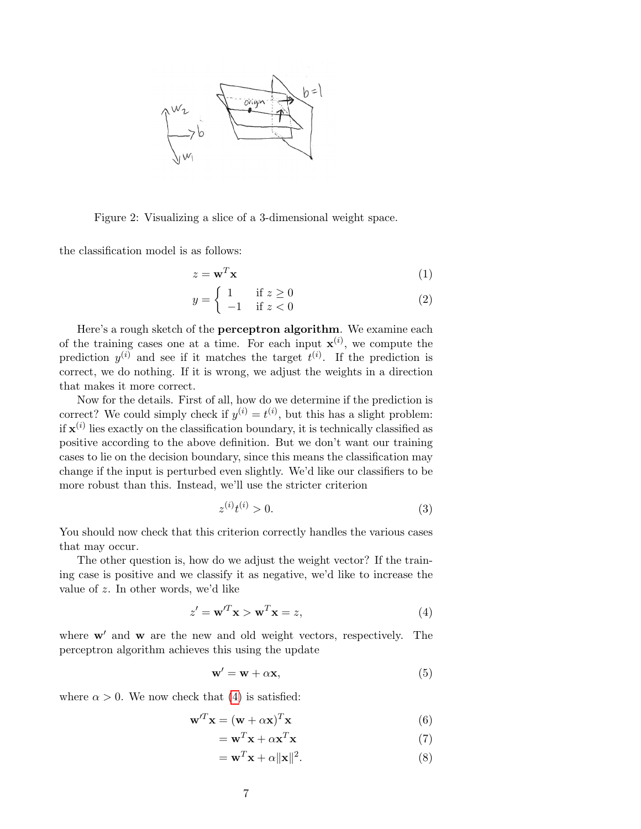

<span id="page-6-0"></span>Figure 2: Visualizing a slice of a 3-dimensional weight space.

the classification model is as follows:

$$
z = \mathbf{w}^T \mathbf{x} \tag{1}
$$

$$
y = \begin{cases} 1 & \text{if } z \ge 0 \\ -1 & \text{if } z < 0 \end{cases}
$$
 (2)

Here's a rough sketch of the perceptron algorithm. We examine each of the training cases one at a time. For each input  $\mathbf{x}^{(i)}$ , we compute the prediction  $y^{(i)}$  and see if it matches the target  $t^{(i)}$ . If the prediction is correct, we do nothing. If it is wrong, we adjust the weights in a direction that makes it more correct.

Now for the details. First of all, how do we determine if the prediction is correct? We could simply check if  $y^{(i)} = t^{(i)}$ , but this has a slight problem: if  $\mathbf{x}^{(i)}$  lies exactly on the classification boundary, it is technically classified as positive according to the above definition. But we don't want our training cases to lie on the decision boundary, since this means the classification may change if the input is perturbed even slightly. We'd like our classifiers to be more robust than this. Instead, we'll use the stricter criterion

$$
z^{(i)}t^{(i)} > 0.
$$
 (3)

You should now check that this criterion correctly handles the various cases that may occur.

The other question is, how do we adjust the weight vector? If the training case is positive and we classify it as negative, we'd like to increase the value of z. In other words, we'd like

<span id="page-6-1"></span>
$$
z' = \mathbf{w}'^T \mathbf{x} > \mathbf{w}^T \mathbf{x} = z,
$$
\n(4)

where  $\mathbf{w}'$  and  $\mathbf{w}$  are the new and old weight vectors, respectively. The perceptron algorithm achieves this using the update

$$
\mathbf{w}' = \mathbf{w} + \alpha \mathbf{x},\tag{5}
$$

where  $\alpha > 0$ . We now check that [\(4\)](#page-6-1) is satisfied:

$$
\mathbf{w}^{\prime T}\mathbf{x} = (\mathbf{w} + \alpha \mathbf{x})^T \mathbf{x} \tag{6}
$$

$$
= \mathbf{w}^T \mathbf{x} + \alpha \mathbf{x}^T \mathbf{x} \tag{7}
$$

$$
= \mathbf{w}^T \mathbf{x} + \alpha ||\mathbf{x}||^2.
$$
 (8)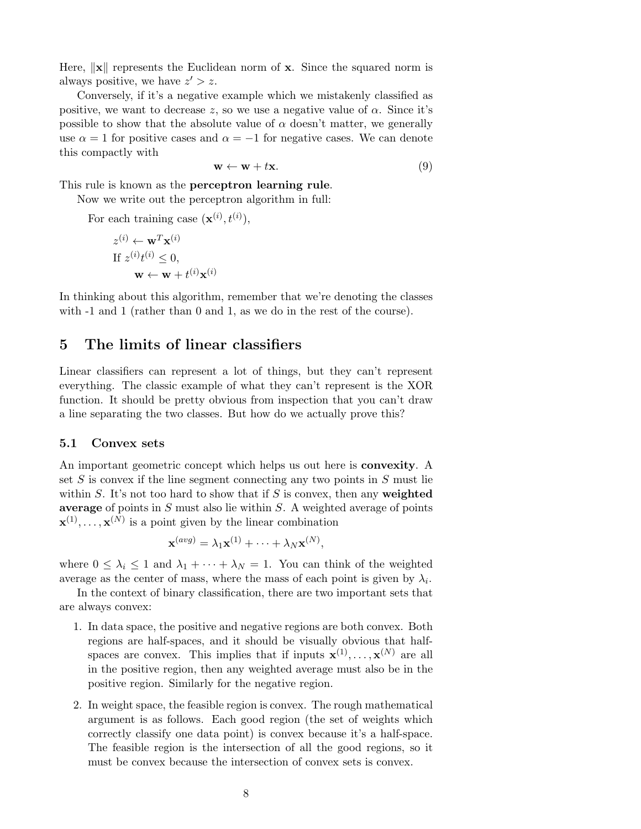Here,  $\|\mathbf{x}\|$  represents the Euclidean norm of **x**. Since the squared norm is always positive, we have  $z' > z$ .

Conversely, if it's a negative example which we mistakenly classified as positive, we want to decrease z, so we use a negative value of  $\alpha$ . Since it's possible to show that the absolute value of  $\alpha$  doesn't matter, we generally use  $\alpha = 1$  for positive cases and  $\alpha = -1$  for negative cases. We can denote this compactly with

$$
\mathbf{w} \leftarrow \mathbf{w} + t\mathbf{x}.\tag{9}
$$

This rule is known as the perceptron learning rule.

Now we write out the perceptron algorithm in full:

For each training case  $(\mathbf{x}^{(i)}, t^{(i)}),$ 

$$
z^{(i)} \leftarrow \mathbf{w}^T \mathbf{x}^{(i)}
$$
  
If  $z^{(i)} t^{(i)} \leq 0$ ,  
 $\mathbf{w} \leftarrow \mathbf{w} + t^{(i)} \mathbf{x}^{(i)}$ 

In thinking about this algorithm, remember that we're denoting the classes with  $-1$  and  $1$  (rather than 0 and 1, as we do in the rest of the course).

# 5 The limits of linear classifiers

Linear classifiers can represent a lot of things, but they can't represent everything. The classic example of what they can't represent is the XOR function. It should be pretty obvious from inspection that you can't draw a line separating the two classes. But how do we actually prove this?

#### 5.1 Convex sets

An important geometric concept which helps us out here is **convexity**. A set  $S$  is convex if the line segment connecting any two points in  $S$  must lie within  $S$ . It's not too hard to show that if  $S$  is convex, then any weighted average of points in  $S$  must also lie within  $S$ . A weighted average of points  $\mathbf{x}^{(1)}, \ldots, \mathbf{x}^{(N)}$  is a point given by the linear combination

$$
\mathbf{x}^{(avg)} = \lambda_1 \mathbf{x}^{(1)} + \cdots + \lambda_N \mathbf{x}^{(N)},
$$

where  $0 \leq \lambda_i \leq 1$  and  $\lambda_1 + \cdots + \lambda_N = 1$ . You can think of the weighted average as the center of mass, where the mass of each point is given by  $\lambda_i$ .

In the context of binary classification, there are two important sets that are always convex:

- 1. In data space, the positive and negative regions are both convex. Both regions are half-spaces, and it should be visually obvious that halfspaces are convex. This implies that if inputs  $\mathbf{x}^{(1)}, \ldots, \mathbf{x}^{(N)}$  are all in the positive region, then any weighted average must also be in the positive region. Similarly for the negative region.
- 2. In weight space, the feasible region is convex. The rough mathematical argument is as follows. Each good region (the set of weights which correctly classify one data point) is convex because it's a half-space. The feasible region is the intersection of all the good regions, so it must be convex because the intersection of convex sets is convex.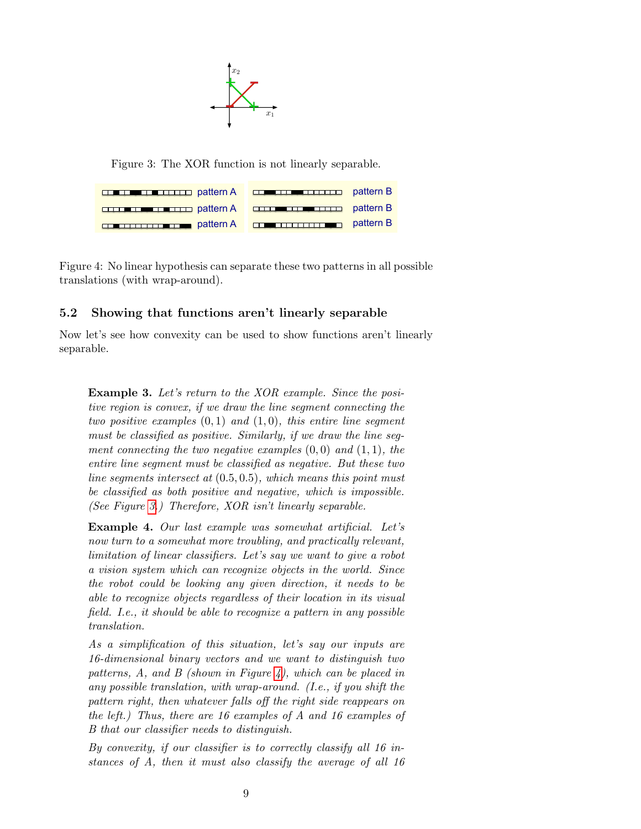$\mathbf{R}$  $\mathbb{X}$  $\mathcal{S}^{\text{max}}_{\text{max}}$  as a suppose we just use  $\mathcal{S}^{\text{max}}_{\text{max}}$ 

Figure 3: The XOR function is not linearly separable.

<span id="page-8-0"></span>

| <b>CONFIDENTIAL PROPERTY POINT DE LA CONFIDENCIA DE LA PARTIE DE LA PARTIE DE LA PARTIE DE LA PARTIE DE LA PARTIE DE LA PARTIE DE LA PARTIE DE LA PARTIE DE LA PARTIE DE LA PARTIE DE LA PARTIE DE LA PARTIE DE LA PARTIE DE LA </b> |  |
|--------------------------------------------------------------------------------------------------------------------------------------------------------------------------------------------------------------------------------------|--|
| <b>CONTINUES IN THE PARTIES OF A CONTINUES CONTINUES.</b> pattern B                                                                                                                                                                  |  |
| <b>CONSTRUCTION</b> pattern A <b>CONSTRUCTION</b> pattern B                                                                                                                                                                          |  |

 $\frac{1}{2}$  regard in the linear  $n_f$  positions can be p pattern B Figure 4: No linear hypothesis can separate these two patterns in all possible

#### <span id="page-8-1"></span>5.2 Showing that functions aren't linearly separable

Now let's see how convexity can be used to show functions aren't linearly separable.

Example 3. Let's return to the XOR example. Since the positive region is convex, if we draw the line segment connecting the two positive examples  $(0, 1)$  and  $(1, 0)$ , this entire line segment must be classified as positive. Similarly, if we draw the line segment connecting the two negative examples  $(0,0)$  and  $(1,1)$ , the entire line segment must be classified as negative. But these two line segments intersect at  $(0.5, 0.5)$ , which means this point must be classified as both positive and negative, which is impossible. (See Figure [3.](#page-8-0)) Therefore, XOR isn't linearly separable.

Example 4. Our last example was somewhat artificial. Let's now turn to a somewhat more troubling, and practically relevant, limitation of linear classifiers. Let's say we want to give a robot a vision system which can recognize objects in the world. Since the robot could be looking any given direction, it needs to be able to recognize objects regardless of their location in its visual field. I.e., it should be able to recognize a pattern in any possible translation.

As a simplification of this situation, let's say our inputs are 16-dimensional binary vectors and we want to distinguish two patterns,  $A$ , and  $B$  (shown in Figure [4\)](#page-8-1), which can be placed in any possible translation, with wrap-around. (I.e., if you shift the pattern right, then whatever falls off the right side reappears on the left.) Thus, there are 16 examples of A and 16 examples of B that our classifier needs to distinguish.

By convexity, if our classifier is to correctly classify all 16 instances of A, then it must also classify the average of all 16